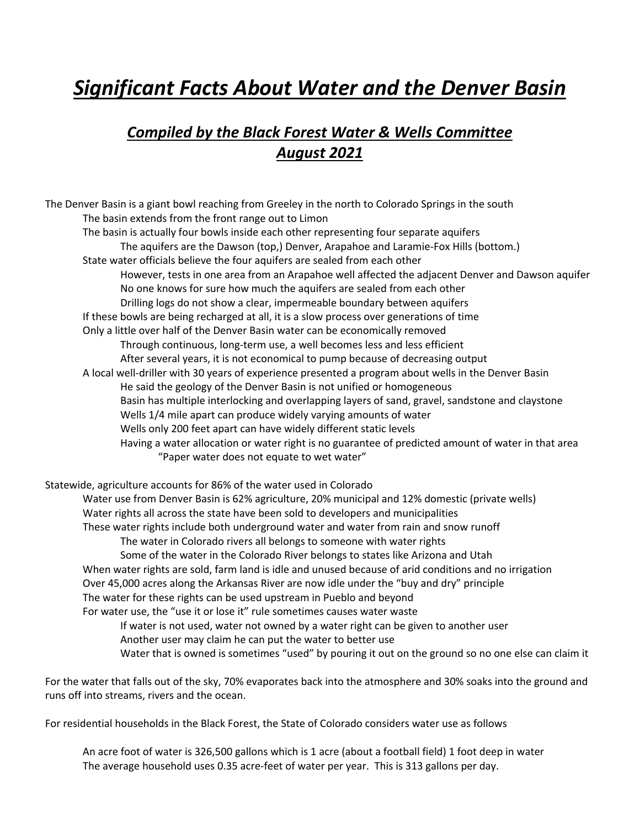# *Significant Facts About Water and the Denver Basin*

## *Compiled by the Black Forest Water & Wells Committee August 2021*

The Denver Basin is a giant bowl reaching from Greeley in the north to Colorado Springs in the south The basin extends from the front range out to Limon The basin is actually four bowls inside each other representing four separate aquifers The aquifers are the Dawson (top,) Denver, Arapahoe and Laramie-Fox Hills (bottom.) State water officials believe the four aquifers are sealed from each other However, tests in one area from an Arapahoe well affected the adjacent Denver and Dawson aquifer No one knows for sure how much the aquifers are sealed from each other Drilling logs do not show a clear, impermeable boundary between aquifers If these bowls are being recharged at all, it is a slow process over generations of time Only a little over half of the Denver Basin water can be economically removed Through continuous, long-term use, a well becomes less and less efficient After several years, it is not economical to pump because of decreasing output A local well-driller with 30 years of experience presented a program about wells in the Denver Basin He said the geology of the Denver Basin is not unified or homogeneous Basin has multiple interlocking and overlapping layers of sand, gravel, sandstone and claystone Wells 1/4 mile apart can produce widely varying amounts of water Wells only 200 feet apart can have widely different static levels Having a water allocation or water right is no guarantee of predicted amount of water in that area "Paper water does not equate to wet water" Statewide, agriculture accounts for 86% of the water used in Colorado Water use from Denver Basin is 62% agriculture, 20% municipal and 12% domestic (private wells) Water rights all across the state have been sold to developers and municipalities These water rights include both underground water and water from rain and snow runoff The water in Colorado rivers all belongs to someone with water rights Some of the water in the Colorado River belongs to states like Arizona and Utah When water rights are sold, farm land is idle and unused because of arid conditions and no irrigation Over 45,000 acres along the Arkansas River are now idle under the "buy and dry" principle The water for these rights can be used upstream in Pueblo and beyond For water use, the "use it or lose it" rule sometimes causes water waste

If water is not used, water not owned by a water right can be given to another user Another user may claim he can put the water to better use Water that is owned is sometimes "used" by pouring it out on the ground so no one else can claim it

For the water that falls out of the sky, 70% evaporates back into the atmosphere and 30% soaks into the ground and runs off into streams, rivers and the ocean.

For residential households in the Black Forest, the State of Colorado considers water use as follows

An acre foot of water is 326,500 gallons which is 1 acre (about a football field) 1 foot deep in water The average household uses 0.35 acre-feet of water per year. This is 313 gallons per day.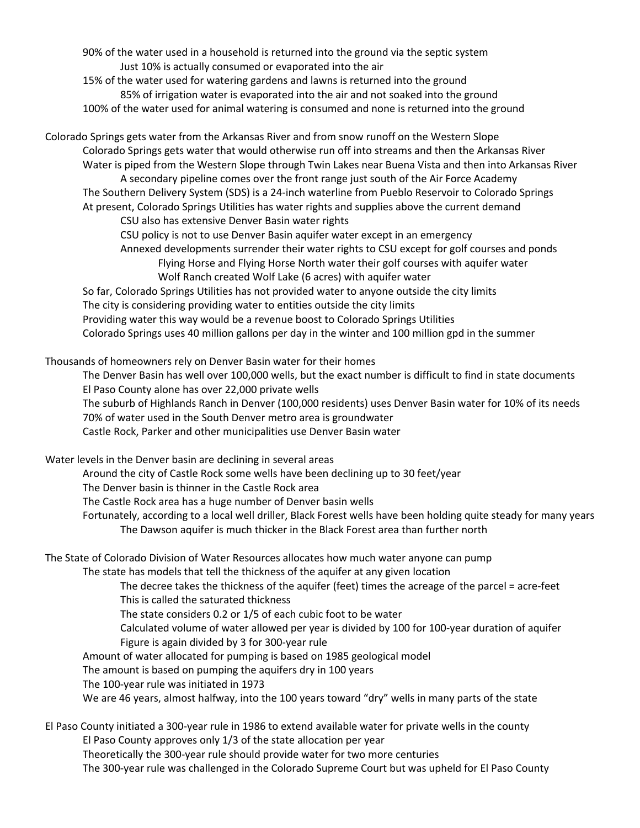90% of the water used in a household is returned into the ground via the septic system Just 10% is actually consumed or evaporated into the air

15% of the water used for watering gardens and lawns is returned into the ground 85% of irrigation water is evaporated into the air and not soaked into the ground 100% of the water used for animal watering is consumed and none is returned into the ground

Colorado Springs gets water from the Arkansas River and from snow runoff on the Western Slope Colorado Springs gets water that would otherwise run off into streams and then the Arkansas River Water is piped from the Western Slope through Twin Lakes near Buena Vista and then into Arkansas River A secondary pipeline comes over the front range just south of the Air Force Academy The Southern Delivery System (SDS) is a 24-inch waterline from Pueblo Reservoir to Colorado Springs At present, Colorado Springs Utilities has water rights and supplies above the current demand

CSU also has extensive Denver Basin water rights

CSU policy is not to use Denver Basin aquifer water except in an emergency

Annexed developments surrender their water rights to CSU except for golf courses and ponds

Flying Horse and Flying Horse North water their golf courses with aquifer water Wolf Ranch created Wolf Lake (6 acres) with aquifer water

So far, Colorado Springs Utilities has not provided water to anyone outside the city limits The city is considering providing water to entities outside the city limits Providing water this way would be a revenue boost to Colorado Springs Utilities Colorado Springs uses 40 million gallons per day in the winter and 100 million gpd in the summer

Thousands of homeowners rely on Denver Basin water for their homes

The Denver Basin has well over 100,000 wells, but the exact number is difficult to find in state documents El Paso County alone has over 22,000 private wells

The suburb of Highlands Ranch in Denver (100,000 residents) uses Denver Basin water for 10% of its needs 70% of water used in the South Denver metro area is groundwater

Castle Rock, Parker and other municipalities use Denver Basin water

Water levels in the Denver basin are declining in several areas

Around the city of Castle Rock some wells have been declining up to 30 feet/year

The Denver basin is thinner in the Castle Rock area

The Castle Rock area has a huge number of Denver basin wells

Fortunately, according to a local well driller, Black Forest wells have been holding quite steady for many years The Dawson aquifer is much thicker in the Black Forest area than further north

#### The State of Colorado Division of Water Resources allocates how much water anyone can pump

The state has models that tell the thickness of the aquifer at any given location

The decree takes the thickness of the aquifer (feet) times the acreage of the parcel = acre-feet This is called the saturated thickness

The state considers 0.2 or 1/5 of each cubic foot to be water

Calculated volume of water allowed per year is divided by 100 for 100-year duration of aquifer Figure is again divided by 3 for 300-year rule

Amount of water allocated for pumping is based on 1985 geological model

The amount is based on pumping the aquifers dry in 100 years

The 100-year rule was initiated in 1973

We are 46 years, almost halfway, into the 100 years toward "dry" wells in many parts of the state

El Paso County initiated a 300-year rule in 1986 to extend available water for private wells in the county El Paso County approves only 1/3 of the state allocation per year Theoretically the 300-year rule should provide water for two more centuries The 300-year rule was challenged in the Colorado Supreme Court but was upheld for El Paso County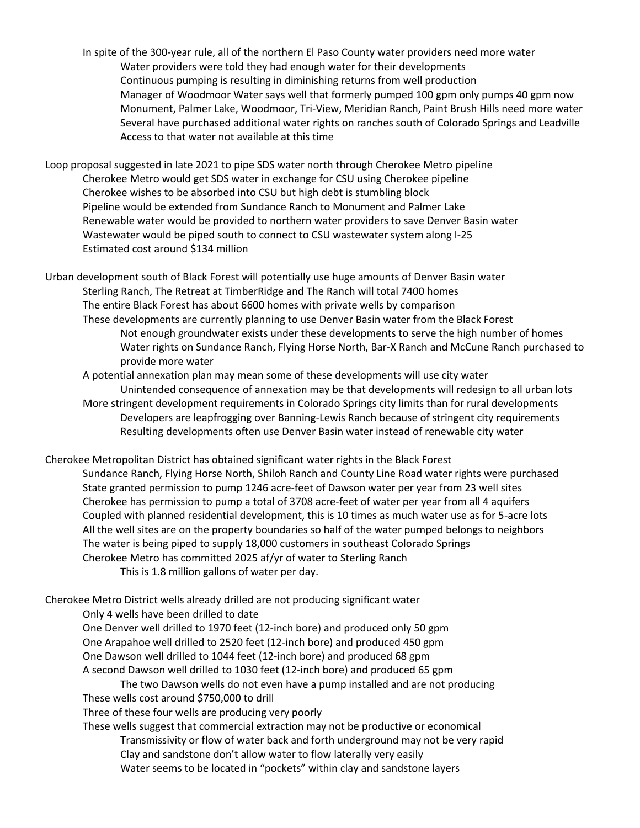In spite of the 300-year rule, all of the northern El Paso County water providers need more water Water providers were told they had enough water for their developments Continuous pumping is resulting in diminishing returns from well production Manager of Woodmoor Water says well that formerly pumped 100 gpm only pumps 40 gpm now Monument, Palmer Lake, Woodmoor, Tri-View, Meridian Ranch, Paint Brush Hills need more water Several have purchased additional water rights on ranches south of Colorado Springs and Leadville Access to that water not available at this time

Loop proposal suggested in late 2021 to pipe SDS water north through Cherokee Metro pipeline Cherokee Metro would get SDS water in exchange for CSU using Cherokee pipeline Cherokee wishes to be absorbed into CSU but high debt is stumbling block Pipeline would be extended from Sundance Ranch to Monument and Palmer Lake Renewable water would be provided to northern water providers to save Denver Basin water Wastewater would be piped south to connect to CSU wastewater system along I-25 Estimated cost around \$134 million

Urban development south of Black Forest will potentially use huge amounts of Denver Basin water Sterling Ranch, The Retreat at TimberRidge and The Ranch will total 7400 homes The entire Black Forest has about 6600 homes with private wells by comparison These developments are currently planning to use Denver Basin water from the Black Forest Not enough groundwater exists under these developments to serve the high number of homes Water rights on Sundance Ranch, Flying Horse North, Bar-X Ranch and McCune Ranch purchased to provide more water

A potential annexation plan may mean some of these developments will use city water Unintended consequence of annexation may be that developments will redesign to all urban lots More stringent development requirements in Colorado Springs city limits than for rural developments Developers are leapfrogging over Banning-Lewis Ranch because of stringent city requirements Resulting developments often use Denver Basin water instead of renewable city water

Cherokee Metropolitan District has obtained significant water rights in the Black Forest Sundance Ranch, Flying Horse North, Shiloh Ranch and County Line Road water rights were purchased State granted permission to pump 1246 acre-feet of Dawson water per year from 23 well sites Cherokee has permission to pump a total of 3708 acre-feet of water per year from all 4 aquifers Coupled with planned residential development, this is 10 times as much water use as for 5-acre lots All the well sites are on the property boundaries so half of the water pumped belongs to neighbors The water is being piped to supply 18,000 customers in southeast Colorado Springs Cherokee Metro has committed 2025 af/yr of water to Sterling Ranch This is 1.8 million gallons of water per day.

Cherokee Metro District wells already drilled are not producing significant water

Only 4 wells have been drilled to date

One Denver well drilled to 1970 feet (12-inch bore) and produced only 50 gpm One Arapahoe well drilled to 2520 feet (12-inch bore) and produced 450 gpm One Dawson well drilled to 1044 feet (12-inch bore) and produced 68 gpm A second Dawson well drilled to 1030 feet (12-inch bore) and produced 65 gpm

The two Dawson wells do not even have a pump installed and are not producing These wells cost around \$750,000 to drill

Three of these four wells are producing very poorly

These wells suggest that commercial extraction may not be productive or economical Transmissivity or flow of water back and forth underground may not be very rapid Clay and sandstone don't allow water to flow laterally very easily Water seems to be located in "pockets" within clay and sandstone layers